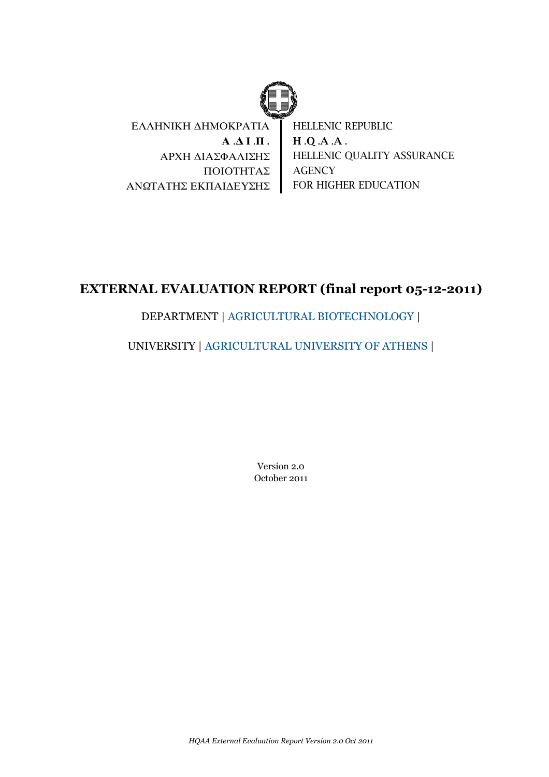

ΕΛΛΗΝΙΚΗ ΔΗΜΟΚΡΑΤΙΑ **Α** .**Δ Ι** .**Π** . ΑΡΧΗ ΔΙΑΣΦΑΛΙΣΗΣ ΠΟΙΟΤΗΤΑΣ ΑΝΩΤΑΤΗΣ ΕΚΠΑΙΔΕΥΣΗΣ HELLENIC REPUBLIC H .Q .A .A . HELLENIC QUALITY ASSURANCE **AGENCY** FOR HIGHER EDUCATION

# **EXTERNAL EVALUATION REPORT (final report 05-12-2011)**

# DEPARTMENT | AGRICULTURAL BIOTECHNOLOGY |

# UNIVERSITY | AGRICULTURAL UNIVERSITY OF ATHENS |

Version 2.0 October 2011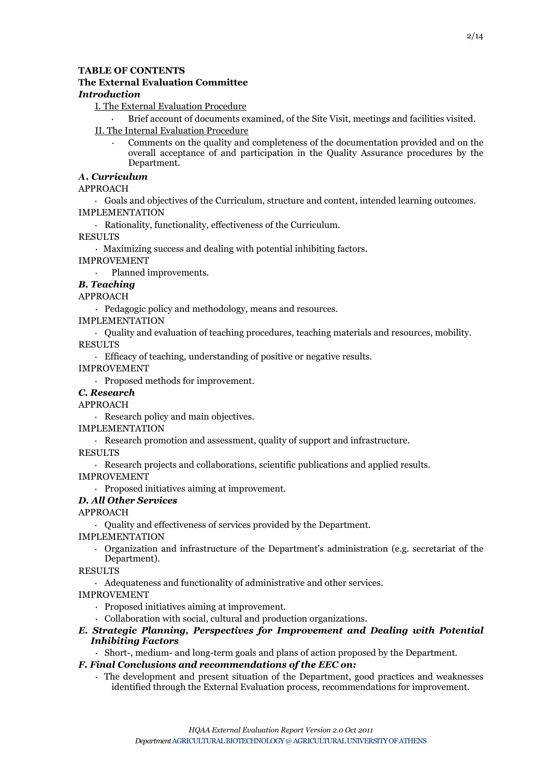# **TABLE OF CONTENTS**

# **The External Evaluation Committee**

# *Introduction*

- I. The External Evaluation Procedure
	- · Brief account of documents examined, of the Site Visit, meetings and facilities visited.

# II. The Internal Evaluation Procedure

· Comments on the quality and completeness of the documentation provided and on the overall acceptance of and participation in the Quality Assurance procedures by the Department.

# *Α. Curriculum*

# APPROACH

· Goals and objectives of the Curriculum, structure and content, intended learning outcomes. IMPLEMENTATION

· Rationality, functionality, effectiveness of the Curriculum.

RESULTS

· Maximizing success and dealing with potential inhibiting factors. IMPROVEMENT

Planned improvements.

# *B. Teaching*

APPROACH

· Pedagogic policy and methodology, means and resources.

IMPLEMENTATION

· Quality and evaluation of teaching procedures, teaching materials and resources, mobility.

RESULTS

· Efficacy of teaching, understanding of positive or negative results.

IMPROVEMENT

· Proposed methods for improvement.

# *C. Research*

APPROACH

· Research policy and main objectives.

IMPLEMENTATION

· Research promotion and assessment, quality of support and infrastructure.

- RESULTS
	- · Research projects and collaborations, scientific publications and applied results.

IMPROVEMENT

· Proposed initiatives aiming at improvement.

# *D. All Other Services*

APPROACH

· Quality and effectiveness of services provided by the Department.

IMPLEMENTATION

· Organization and infrastructure of the Department's administration (e.g. secretariat of the Department).

# **RESULTS**

· Adequateness and functionality of administrative and other services.

IMPROVEMENT

- · Proposed initiatives aiming at improvement.
- · Collaboration with social, cultural and production organizations.
- *E. Strategic Planning, Perspectives for Improvement and Dealing with Potential Inhibiting Factors*
	- · Short-, medium- and long-term goals and plans of action proposed by the Department.

# *F. Final Conclusions and recommendations of the EEC on:*

· The development and present situation of the Department, good practices and weaknesses identified through the External Evaluation process, recommendations for improvement.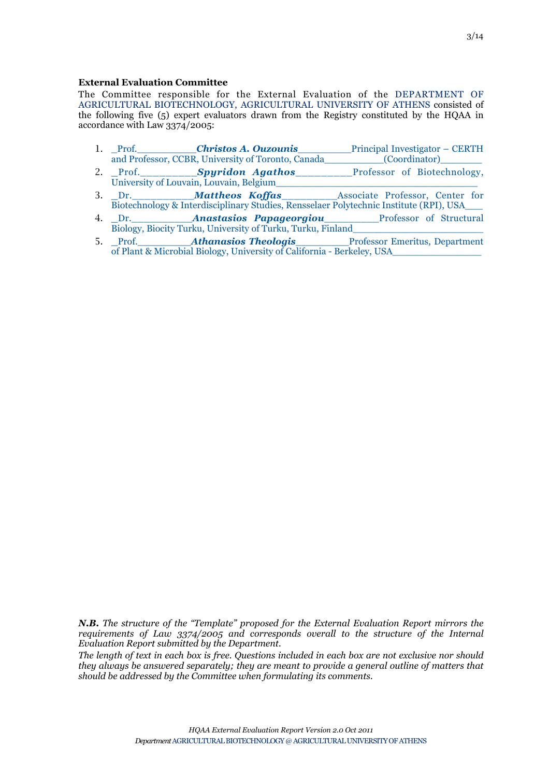### **External Evaluation Committee**

The Committee responsible for the External Evaluation of the DEPARTMENT OF AGRICULTURAL BIOTECHNOLOGY, AGRICULTURAL UNIVERSITY OF ATHENS consisted of the following five (5) expert evaluators drawn from the Registry constituted by the HQAA in accordance with Law 3374/2005:

- 1. Prof. Christos A. Ouzounis Principal Investigator CERTH and Professor, CCBR, University of Toronto, Canada (Coordinator)
- 2. Prof. **Spyridon Agathos** Professor of Biotechnology, University of Louvain, Louvain, Belgium
- 3. \_Dr.\_\_\_\_\_\_\_\_\_\_*Mattheos Koffas*\_\_\_\_\_\_\_\_\_Associate Professor, Center for Biotechnology & Interdisciplinary Studies, Rensselaer Polytechnic Institute (RPI), USA\_\_\_
- 4. Dr. **Anastasios Papageorgiou** Professor of Structural Biology, Biocity Turku, University of Turku, Turku, Finland
- 5. Prof. **Athanasios Theologis** Professor Emeritus, Department of Plant & Microbial Biology, University of California - Berkeley, USA

*N.B. The structure of the "Template" proposed for the External Evaluation Report mirrors the requirements of Law 3374/2005 and corresponds overall to the structure of the Internal Evaluation Report submitted by the Department.*

*The length of text in each box is free. Questions included in each box are not exclusive nor should they always be answered separately; they are meant to provide a general outline of matters that should be addressed by the Committee when formulating its comments.*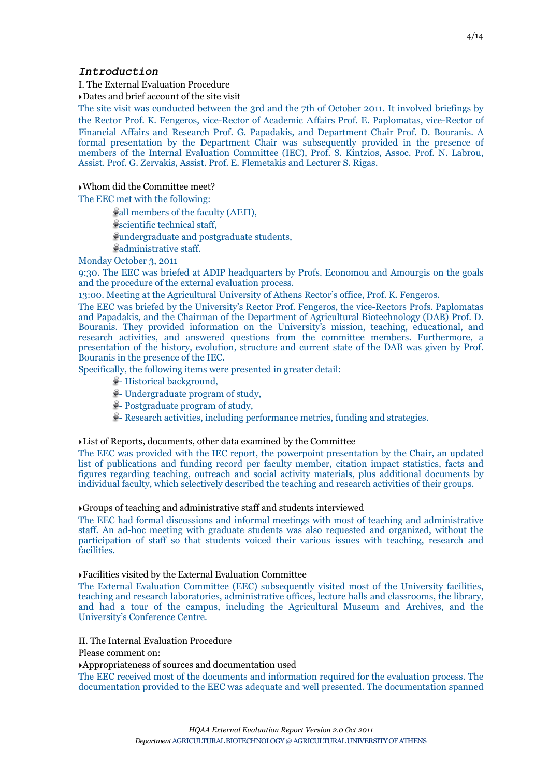#### *Introduction*

I. The External Evaluation Procedure

‣Dates and brief account of the site visit

The site visit was conducted between the 3rd and the 7th of October 2011. It involved briefings by the Rector Prof. K. Fengeros, vice-Rector of Academic Αffairs Prof. E. Paplomatas, vice-Rector of Financial Αffairs and Research Prof. G. Papadakis, and Department Chair Prof. D. Bouranis. A formal presentation by the Department Chair was subsequently provided in the presence of members of the Internal Evaluation Committee (IEC), Prof. S. Kintzios, Assoc. Prof. N. Labrou, Assist. Prof. G. Zervakis, Assist. Prof. E. Flemetakis and Lecturer S. Rigas.

#### ‣Whom did the Committee meet?

The EEC met with the following:

 $\mathcal{L}$ all members of the faculty ( $\Delta$ EΠ), scientific technical staff, undergraduate and postgraduate students, administrative staff.

Monday October 3, 2011

9:30. The EEC was briefed at ADIP headquarters by Profs. Economou and Amourgis on the goals and the procedure of the external evaluation process.

13:00. Meeting at the Agricultural University of Athens Rector's office, Prof. K. Fengeros.

The EEC was briefed by the University's Rector Prof. Fengeros, the vice-Rectors Profs. Paplomatas and Papadakis, and the Chairman of the Department of Agricultural Biotechnology (DAB) Prof. D. Bouranis. They provided information on the University's mission, teaching, educational, and research activities, and answered questions from the committee members. Furthermore, a presentation of the history, evolution, structure and current state of the DAB was given by Prof. Bouranis in the presence of the IEC.

Specifically, the following items were presented in greater detail:

- $\frac{3}{7}$  Historical background,
- Undergraduate program of study,
- $\frac{1}{2}$  Postgraduate program of study,
- Research activities, including performance metrics, funding and strategies.

#### ‣List of Reports, documents, other data examined by the Committee

The EEC was provided with the IEC report, the powerpoint presentation by the Chair, an updated list of publications and funding record per faculty member, citation impact statistics, facts and figures regarding teaching, outreach and social activity materials, plus additional documents by individual faculty, which selectively described the teaching and research activities of their groups.

#### ‣Groups of teaching and administrative staff and students interviewed

The EEC had formal discussions and informal meetings with most of teaching and administrative staff. An ad-hoc meeting with graduate students was also requested and organized, without the participation of staff so that students voiced their various issues with teaching, research and facilities.

#### ‣Facilities visited by the External Evaluation Committee

The External Evaluation Committee (EEC) subsequently visited most of the University facilities, teaching and research laboratories, administrative offices, lecture halls and classrooms, the library, and had a tour of the campus, including the Agricultural Museum and Archives, and the University's Conference Centre.

#### II. The Internal Evaluation Procedure

Please comment on:

‣Appropriateness of sources and documentation used

The EEC received most of the documents and information required for the evaluation process. The documentation provided to the EEC was adequate and well presented. The documentation spanned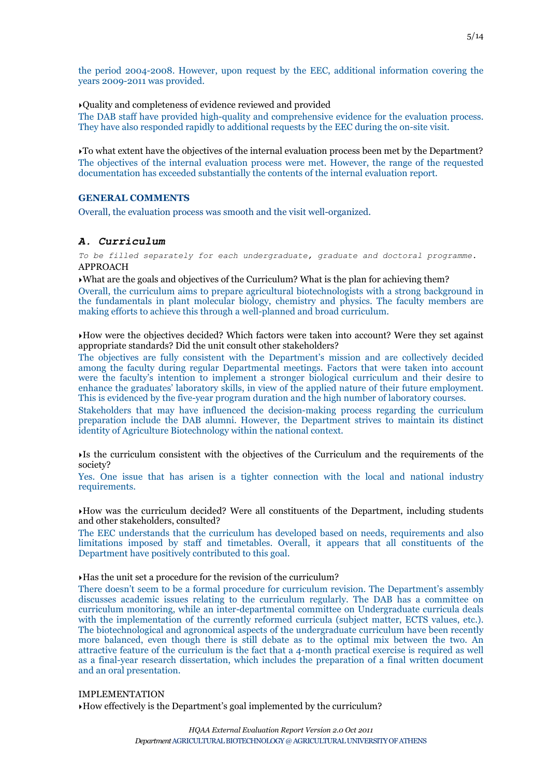the period 2004-2008. However, upon request by the EEC, additional information covering the years 2009-2011 was provided.

‣Quality and completeness of evidence reviewed and provided

The DAB staff have provided high-quality and comprehensive evidence for the evaluation process. They have also responded rapidly to additional requests by the EEC during the on-site visit.

‣To what extent have the objectives of the internal evaluation process been met by the Department? The objectives of the internal evaluation process were met. However, the range of the requested documentation has exceeded substantially the contents of the internal evaluation report.

# **GENERAL COMMENTS**

Overall, the evaluation process was smooth and the visit well-organized.

#### *A. Curriculum*

*To be filled separately for each undergraduate, graduate and doctoral programme.* APPROACH

‣What are the goals and objectives of the Curriculum? What is the plan for achieving them?

Overall, the curriculum aims to prepare agricultural biotechnologists with a strong background in the fundamentals in plant molecular biology, chemistry and physics. The faculty members are making efforts to achieve this through a well-planned and broad curriculum.

‣How were the objectives decided? Which factors were taken into account? Were they set against appropriate standards? Did the unit consult other stakeholders?

The objectives are fully consistent with the Department's mission and are collectively decided among the faculty during regular Departmental meetings. Factors that were taken into account were the faculty's intention to implement a stronger biological curriculum and their desire to enhance the graduates' laboratory skills, in view of the applied nature of their future employment. This is evidenced by the five-year program duration and the high number of laboratory courses.

Stakeholders that may have influenced the decision-making process regarding the curriculum preparation include the DAB alumni. However, the Department strives to maintain its distinct identity of Agriculture Biotechnology within the national context.

‣Is the curriculum consistent with the objectives of the Curriculum and the requirements of the society?

Yes. One issue that has arisen is a tighter connection with the local and national industry requirements.

 $\rightarrow$  How was the curriculum decided? Were all constituents of the Department, including students and other stakeholders, consulted?

The EEC understands that the curriculum has developed based on needs, requirements and also limitations imposed by staff and timetables. Overall, it appears that all constituents of the Department have positively contributed to this goal.

#### ‣Has the unit set a procedure for the revision of the curriculum?

There doesn't seem to be a formal procedure for curriculum revision. The Department's assembly discusses academic issues relating to the curriculum regularly. The DAB has a committee on curriculum monitoring, while an inter-departmental committee on Undergraduate curricula deals with the implementation of the currently reformed curricula (subject matter, ECTS values, etc.). The biotechnological and agronomical aspects of the undergraduate curriculum have been recently more balanced, even though there is still debate as to the optimal mix between the two. An attractive feature of the curriculum is the fact that a 4-month practical exercise is required as well as a final-year research dissertation, which includes the preparation of a final written document and an oral presentation.

#### IMPLEMENTATION

‣How effectively is the Department's goal implemented by the curriculum?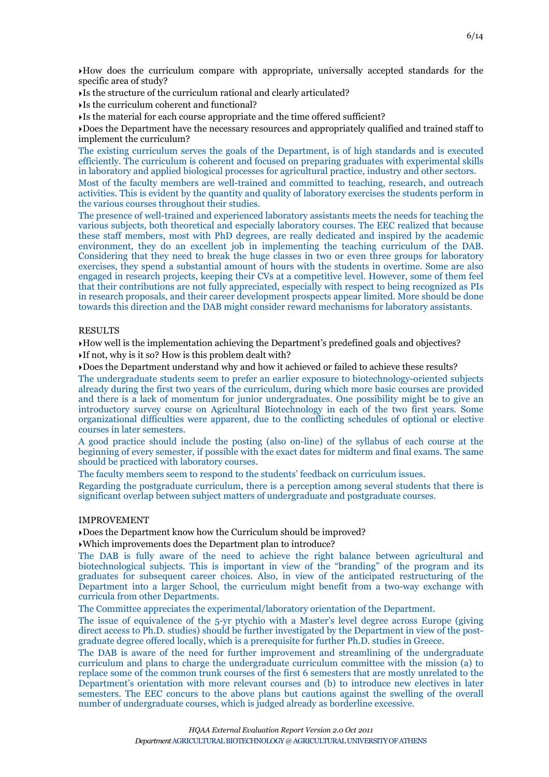‣How does the curriculum compare with appropriate, universally accepted standards for the specific area of study?

‣Is the structure of the curriculum rational and clearly articulated?

‣Is the curriculum coherent and functional?

‣Is the material for each course appropriate and the time offered sufficient?

‣Does the Department have the necessary resources and appropriately qualified and trained staff to implement the curriculum?

The existing curriculum serves the goals of the Department, is of high standards and is executed efficiently. The curriculum is coherent and focused on preparing graduates with experimental skills in laboratory and applied biological processes for agricultural practice, industry and other sectors.

Most of the faculty members are well-trained and committed to teaching, research, and outreach activities. This is evident by the quantity and quality of laboratory exercises the students perform in the various courses throughout their studies.

The presence of well-trained and experienced laboratory assistants meets the needs for teaching the various subjects, both theoretical and especially laboratory courses. The EEC realized that because these staff members, most with PhD degrees, are really dedicated and inspired by the academic environment, they do an excellent job in implementing the teaching curriculum of the DAB. Considering that they need to break the huge classes in two or even three groups for laboratory exercises, they spend a substantial amount of hours with the students in overtime. Some are also engaged in research projects, keeping their CVs at a competitive level. However, some of them feel that their contributions are not fully appreciated, especially with respect to being recognized as PIs in research proposals, and their career development prospects appear limited. More should be done towards this direction and the DAB might consider reward mechanisms for laboratory assistants.

#### RESULTS

‣How well is the implementation achieving the Department's predefined goals and objectives? ‣If not, why is it so? How is this problem dealt with?

‣Does the Department understand why and how it achieved or failed to achieve these results?

The undergraduate students seem to prefer an earlier exposure to biotechnology-oriented subjects already during the first two years of the curriculum, during which more basic courses are provided and there is a lack of momentum for junior undergraduates. One possibility might be to give an introductory survey course on Agricultural Biotechnology in each of the two first years. Some organizational difficulties were apparent, due to the conflicting schedules of optional or elective courses in later semesters.

A good practice should include the posting (also on-line) of the syllabus of each course at the beginning of every semester, if possible with the exact dates for midterm and final exams. The same should be practiced with laboratory courses.

The faculty members seem to respond to the students' feedback on curriculum issues.

Regarding the postgraduate curriculum, there is a perception among several students that there is significant overlap between subject matters of undergraduate and postgraduate courses.

# IMPROVEMENT

‣Does the Department know how the Curriculum should be improved?

‣Which improvements does the Department plan to introduce?

The DAB is fully aware of the need to achieve the right balance between agricultural and biotechnological subjects. This is important in view of the "branding" of the program and its graduates for subsequent career choices. Also, in view of the anticipated restructuring of the Department into a larger School, the curriculum might benefit from a two-way exchange with curricula from other Departments.

The Committee appreciates the experimental/laboratory orientation of the Department.

The issue of equivalence of the 5-yr ptychio with a Master's level degree across Europe (giving direct access to Ph.D. studies) should be further investigated by the Department in view of the postgraduate degree offered locally, which is a prerequisite for further Ph.D. studies in Greece.

The DAB is aware of the need for further improvement and streamlining of the undergraduate curriculum and plans to charge the undergraduate curriculum committee with the mission (a) to replace some of the common trunk courses of the first 6 semesters that are mostly unrelated to the Department's orientation with more relevant courses and (b) to introduce new electives in later semesters. The EEC concurs to the above plans but cautions against the swelling of the overall number of undergraduate courses, which is judged already as borderline excessive.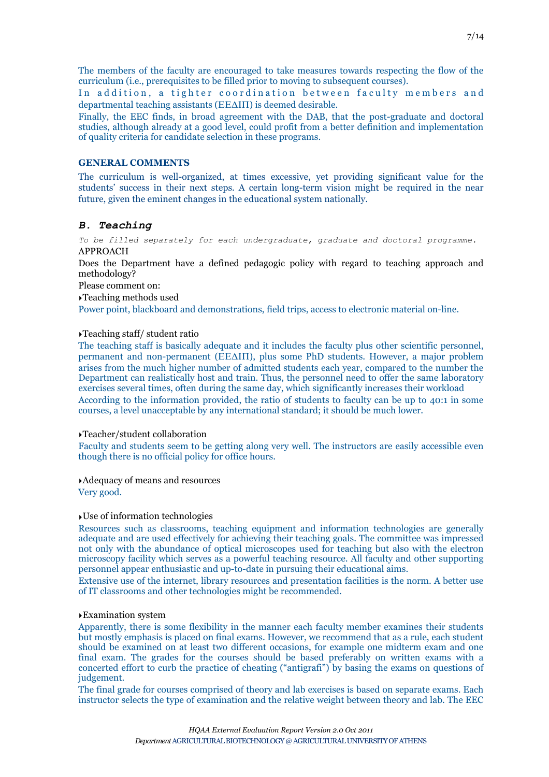‣Examination system

Apparently, there is some flexibility in the manner each faculty member examines their students but mostly emphasis is placed on final exams. However, we recommend that as a rule, each student should be examined on at least two different occasions, for example one midterm exam and one final exam. The grades for the courses should be based preferably on written exams with a concerted effort to curb the practice of cheating ("antigrafi") by basing the exams on questions of judgement.

The final grade for courses comprised of theory and lab exercises is based on separate exams. Each instructor selects the type of examination and the relative weight between theory and lab. The EEC

The members of the faculty are encouraged to take measures towards respecting the flow of the curriculum (i.e., prerequisites to be filled prior to moving to subsequent courses).

In addition, a tighter coordination between faculty members and departmental teaching assistants (ΕΕΔΙΠ) is deemed desirable.

Finally, the EEC finds, in broad agreement with the DAB, that the post-graduate and doctoral studies, although already at a good level, could profit from a better definition and implementation of quality criteria for candidate selection in these programs.

#### **GENERAL COMMENTS**

The curriculum is well-organized, at times excessive, yet providing significant value for the students' success in their next steps. A certain long-term vision might be required in the near future, given the eminent changes in the educational system nationally.

#### *B. Teaching*

*To be filled separately for each undergraduate, graduate and doctoral programme.* APPROACH

Does the Department have a defined pedagogic policy with regard to teaching approach and methodology?

Please comment on:

‣Teaching methods used

Power point, blackboard and demonstrations, field trips, access to electronic material on-line.

#### ‣Teaching staff/ student ratio

The teaching staff is basically adequate and it includes the faculty plus other scientific personnel, permanent and non-permanent (ΕΕΔΙΠ), plus some PhD students. However, a major problem arises from the much higher number of admitted students each year, compared to the number the Department can realistically host and train. Thus, the personnel need to offer the same laboratory exercises several times, often during the same day, which significantly increases their workload According to the information provided, the ratio of students to faculty can be up to 40:1 in some courses, a level unacceptable by any international standard; it should be much lower.

#### ‣Teacher/student collaboration

Faculty and students seem to be getting along very well. The instructors are easily accessible even though there is no official policy for office hours.

‣Adequacy of means and resources

Very good.

#### ‣Use of information technologies

Resources such as classrooms, teaching equipment and information technologies are generally adequate and are used effectively for achieving their teaching goals. The committee was impressed not only with the abundance of optical microscopes used for teaching but also with the electron microscopy facility which serves as a powerful teaching resource. All faculty and other supporting personnel appear enthusiastic and up-to-date in pursuing their educational aims.

Extensive use of the internet, library resources and presentation facilities is the norm. A better use of IT classrooms and other technologies might be recommended.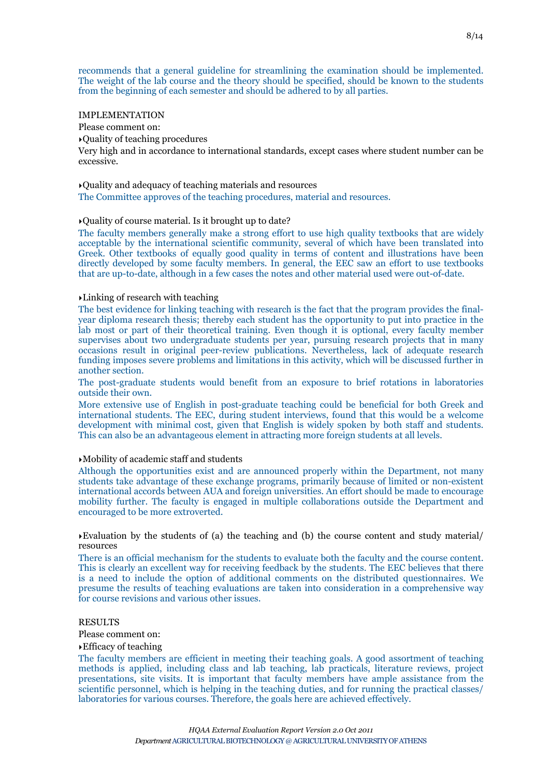recommends that a general guideline for streamlining the examination should be implemented. The weight of the lab course and the theory should be specified, should be known to the students from the beginning of each semester and should be adhered to by all parties.

#### IMPLEMENTATION

Please comment on:

‣Quality of teaching procedures

Very high and in accordance to international standards, except cases where student number can be excessive.

‣Quality and adequacy of teaching materials and resources The Committee approves of the teaching procedures, material and resources.

#### ‣Quality of course material. Is it brought up to date?

The faculty members generally make a strong effort to use high quality textbooks that are widely acceptable by the international scientific community, several of which have been translated into Greek. Other textbooks of equally good quality in terms of content and illustrations have been directly developed by some faculty members. In general, the EEC saw an effort to use textbooks that are up-to-date, although in a few cases the notes and other material used were out-of-date.

#### ‣Linking of research with teaching

The best evidence for linking teaching with research is the fact that the program provides the finalyear diploma research thesis; thereby each student has the opportunity to put into practice in the lab most or part of their theoretical training. Even though it is optional, every faculty member supervises about two undergraduate students per year, pursuing research projects that in many occasions result in original peer-review publications. Nevertheless, lack of adequate research funding imposes severe problems and limitations in this activity, which will be discussed further in another section.

The post-graduate students would benefit from an exposure to brief rotations in laboratories outside their own.

More extensive use of English in post-graduate teaching could be beneficial for both Greek and international students. The EEC, during student interviews, found that this would be a welcome development with minimal cost, given that English is widely spoken by both staff and students. This can also be an advantageous element in attracting more foreign students at all levels.

#### ‣Mobility of academic staff and students

Although the opportunities exist and are announced properly within the Department, not many students take advantage of these exchange programs, primarily because of limited or non-existent international accords between AUA and foreign universities. An effort should be made to encourage mobility further. The faculty is engaged in multiple collaborations outside the Department and encouraged to be more extroverted.

Evaluation by the students of (a) the teaching and (b) the course content and study material/ resources

There is an official mechanism for the students to evaluate both the faculty and the course content. This is clearly an excellent way for receiving feedback by the students. The EEC believes that there is a need to include the option of additional comments on the distributed questionnaires. We presume the results of teaching evaluations are taken into consideration in a comprehensive way for course revisions and various other issues.

#### **RESULTS**

Please comment on:

#### ‣Efficacy of teaching

The faculty members are efficient in meeting their teaching goals. A good assortment of teaching methods is applied, including class and lab teaching, lab practicals, literature reviews, project presentations, site visits. It is important that faculty members have ample assistance from the scientific personnel, which is helping in the teaching duties, and for running the practical classes/ laboratories for various courses. Therefore, the goals here are achieved effectively.

*Department* AGRICULTURAL BIOTECHNOLOGY @ AGRICULTURAL UNIVERSITY OF ATHENS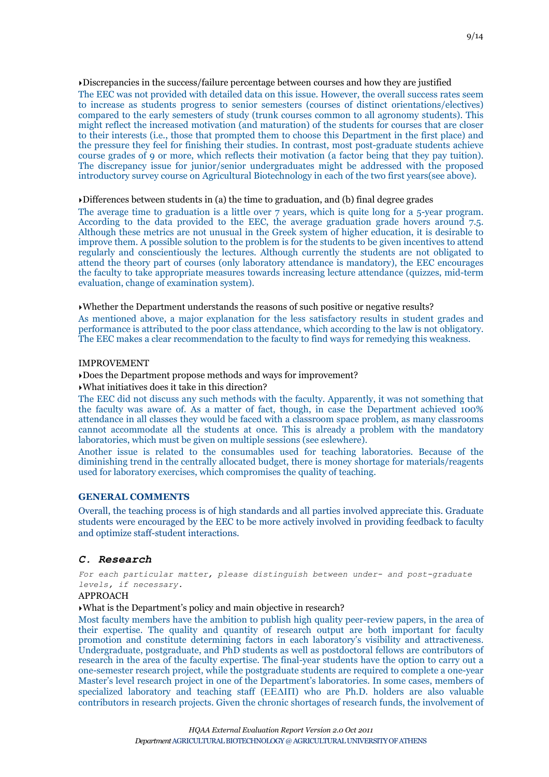‣Discrepancies in the success/failure percentage between courses and how they are justified

The EEC was not provided with detailed data on this issue. However, the overall success rates seem to increase as students progress to senior semesters (courses of distinct orientations/electives) compared to the early semesters of study (trunk courses common to all agronomy students). This might reflect the increased motivation (and maturation) of the students for courses that are closer to their interests (i.e., those that prompted them to choose this Department in the first place) and the pressure they feel for finishing their studies. In contrast, most post-graduate students achieve course grades of 9 or more, which reflects their motivation (a factor being that they pay tuition). The discrepancy issue for junior/senior undergraduates might be addressed with the proposed introductory survey course on Agricultural Biotechnology in each of the two first years(see above).

‣Differences between students in (a) the time to graduation, and (b) final degree grades

The average time to graduation is a little over 7 years, which is quite long for a 5-year program. According to the data provided to the EEC, the average graduation grade hovers around 7.5. Although these metrics are not unusual in the Greek system of higher education, it is desirable to improve them. A possible solution to the problem is for the students to be given incentives to attend regularly and conscientiously the lectures. Although currently the students are not obligated to attend the theory part of courses (only laboratory attendance is mandatory), the EEC encourages the faculty to take appropriate measures towards increasing lecture attendance (quizzes, mid-term evaluation, change of examination system).

‣Whether the Department understands the reasons of such positive or negative results? As mentioned above, a major explanation for the less satisfactory results in student grades and performance is attributed to the poor class attendance, which according to the law is not obligatory. The EEC makes a clear recommendation to the faculty to find ways for remedying this weakness.

#### IMPROVEMENT

#### ‣Does the Department propose methods and ways for improvement?

‣What initiatives does it take in this direction?

The EEC did not discuss any such methods with the faculty. Apparently, it was not something that the faculty was aware of. As a matter of fact, though, in case the Department achieved 100% attendance in all classes they would be faced with a classroom space problem, as many classrooms cannot accommodate all the students at once. This is already a problem with the mandatory laboratories, which must be given on multiple sessions (see eslewhere).

Another issue is related to the consumables used for teaching laboratories. Because of the diminishing trend in the centrally allocated budget, there is money shortage for materials/reagents used for laboratory exercises, which compromises the quality of teaching.

# **GENERAL COMMENTS**

Overall, the teaching process is of high standards and all parties involved appreciate this. Graduate students were encouraged by the EEC to be more actively involved in providing feedback to faculty and optimize staff-student interactions.

# *C. Research*

*For each particular matter, please distinguish between under- and post-graduate levels, if necessary.*

#### APPROACH

‣What is the Department's policy and main objective in research?

Most faculty members have the ambition to publish high quality peer-review papers, in the area of their expertise. The quality and quantity of research output are both important for faculty promotion and constitute determining factors in each laboratory's visibility and attractiveness. Undergraduate, postgraduate, and PhD students as well as postdoctoral fellows are contributors of research in the area of the faculty expertise. The final-year students have the option to carry out a one-semester research project, while the postgraduate students are required to complete a one-year Master's level research project in one of the Department's laboratories. In some cases, members of specialized laboratory and teaching staff (ΕΕΔΙΠ) who are Ph.D. holders are also valuable contributors in research projects. Given the chronic shortages of research funds, the involvement of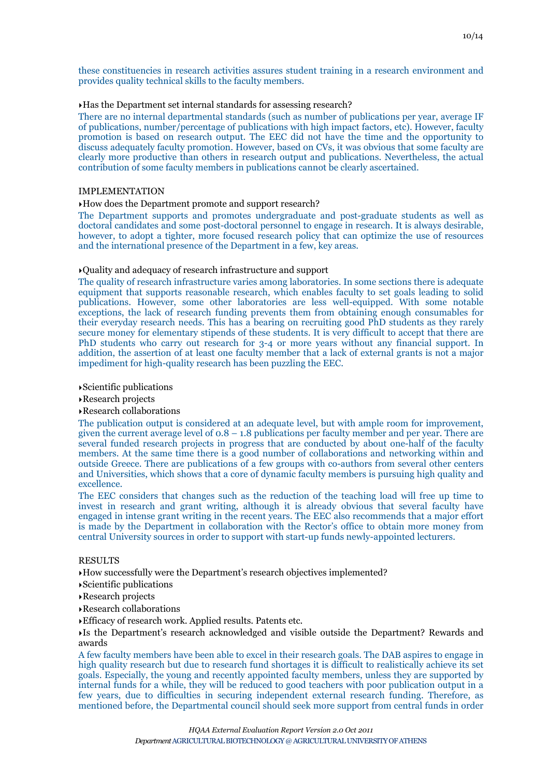these constituencies in research activities assures student training in a research environment and provides quality technical skills to the faculty members.

#### ‣Has the Department set internal standards for assessing research?

There are no internal departmental standards (such as number of publications per year, average IF of publications, number/percentage of publications with high impact factors, etc). However, faculty promotion is based on research output. The EEC did not have the time and the opportunity to discuss adequately faculty promotion. However, based on CVs, it was obvious that some faculty are clearly more productive than others in research output and publications. Nevertheless, the actual contribution of some faculty members in publications cannot be clearly ascertained.

#### IMPLEMENTATION

#### ‣How does the Department promote and support research?

The Department supports and promotes undergraduate and post-graduate students as well as doctoral candidates and some post-doctoral personnel to engage in research. It is always desirable, however, to adopt a tighter, more focused research policy that can optimize the use of resources and the international presence of the Department in a few, key areas.

#### ‣Quality and adequacy of research infrastructure and support

The quality of research infrastructure varies among laboratories. In some sections there is adequate equipment that supports reasonable research, which enables faculty to set goals leading to solid publications. However, some other laboratories are less well-equipped. With some notable exceptions, the lack of research funding prevents them from obtaining enough consumables for their everyday research needs. This has a bearing on recruiting good PhD students as they rarely secure money for elementary stipends of these students. It is very difficult to accept that there are PhD students who carry out research for 3-4 or more years without any financial support. In addition, the assertion of at least one faculty member that a lack of external grants is not a major impediment for high-quality research has been puzzling the EEC.

#### ‣Scientific publications

‣Research projects

#### ‣Research collaborations

The publication output is considered at an adequate level, but with ample room for improvement, given the current average level of  $0.8 - 1.8$  publications per faculty member and per year. There are several funded research projects in progress that are conducted by about one-half of the faculty members. At the same time there is a good number of collaborations and networking within and outside Greece. There are publications of a few groups with co-authors from several other centers and Universities, which shows that a core of dynamic faculty members is pursuing high quality and excellence.

The EEC considers that changes such as the reduction of the teaching load will free up time to invest in research and grant writing, although it is already obvious that several faculty have engaged in intense grant writing in the recent years. The EEC also recommends that a major effort is made by the Department in collaboration with the Rector's office to obtain more money from central University sources in order to support with start-up funds newly-appointed lecturers.

#### RESULTS

‣How successfully were the Department's research objectives implemented?

- ‣Scientific publications
- ‣Research projects
- ‣Research collaborations
- ‣Efficacy of research work. Applied results. Patents etc.

‣Is the Department's research acknowledged and visible outside the Department? Rewards and awards

A few faculty members have been able to excel in their research goals. The DAB aspires to engage in high quality research but due to research fund shortages it is difficult to realistically achieve its set goals. Especially, the young and recently appointed faculty members, unless they are supported by internal funds for a while, they will be reduced to good teachers with poor publication output in a few years, due to difficulties in securing independent external research funding. Therefore, as mentioned before, the Departmental council should seek more support from central funds in order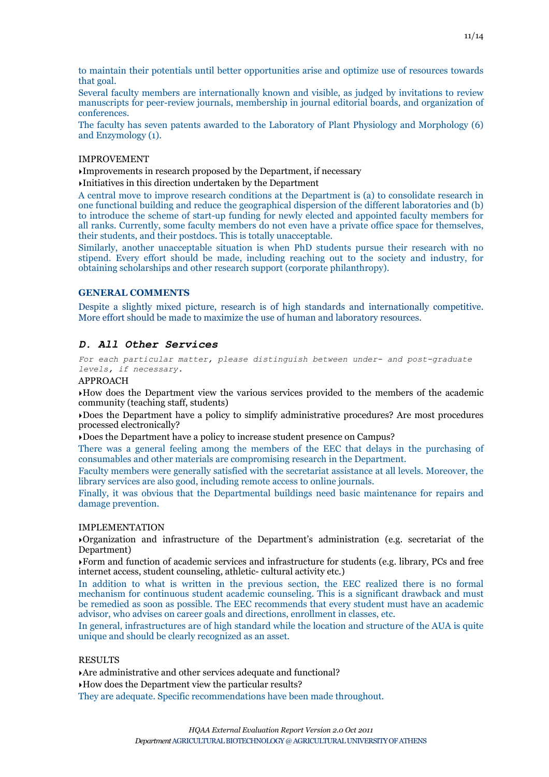to maintain their potentials until better opportunities arise and optimize use of resources towards that goal.

Several faculty members are internationally known and visible, as judged by invitations to review manuscripts for peer-review journals, membership in journal editorial boards, and organization of conferences.

The faculty has seven patents awarded to the Laboratory of Plant Physiology and Morphology (6) and Enzymology (1).

#### IMPROVEMENT

‣Improvements in research proposed by the Department, if necessary

‣Initiatives in this direction undertaken by the Department

A central move to improve research conditions at the Department is (a) to consolidate research in one functional building and reduce the geographical dispersion of the different laboratories and (b) to introduce the scheme of start-up funding for newly elected and appointed faculty members for all ranks. Currently, some faculty members do not even have a private office space for themselves, their students, and their postdocs. This is totally unacceptable.

Similarly, another unacceptable situation is when PhD students pursue their research with no stipend. Every effort should be made, including reaching out to the society and industry, for obtaining scholarships and other research support (corporate philanthropy).

#### **GENERAL COMMENTS**

Despite a slightly mixed picture, research is of high standards and internationally competitive. More effort should be made to maximize the use of human and laboratory resources.

#### *D. All Other Services*

*For each particular matter, please distinguish between under- and post-graduate levels, if necessary.*

#### APPROACH

‣How does the Department view the various services provided to the members of the academic community (teaching staff, students)

‣Does the Department have a policy to simplify administrative procedures? Are most procedures processed electronically?

‣Does the Department have a policy to increase student presence on Campus?

There was a general feeling among the members of the EEC that delays in the purchasing of consumables and other materials are compromising research in the Department.

Faculty members were generally satisfied with the secretariat assistance at all levels. Moreover, the library services are also good, including remote access to online journals.

Finally, it was obvious that the Departmental buildings need basic maintenance for repairs and damage prevention.

#### IMPLEMENTATION

‣Organization and infrastructure of the Department's administration (e.g. secretariat of the Department)

‣Form and function of academic services and infrastructure for students (e.g. library, PCs and free internet access, student counseling, athletic- cultural activity etc.)

In addition to what is written in the previous section, the EEC realized there is no formal mechanism for continuous student academic counseling. This is a significant drawback and must be remedied as soon as possible. The EEC recommends that every student must have an academic advisor, who advises on career goals and directions, enrollment in classes, etc.

In general, infrastructures are of high standard while the location and structure of the AUA is quite unique and should be clearly recognized as an asset.

#### RESULTS

‣Are administrative and other services adequate and functional?

‣How does the Department view the particular results?

They are adequate. Specific recommendations have been made throughout.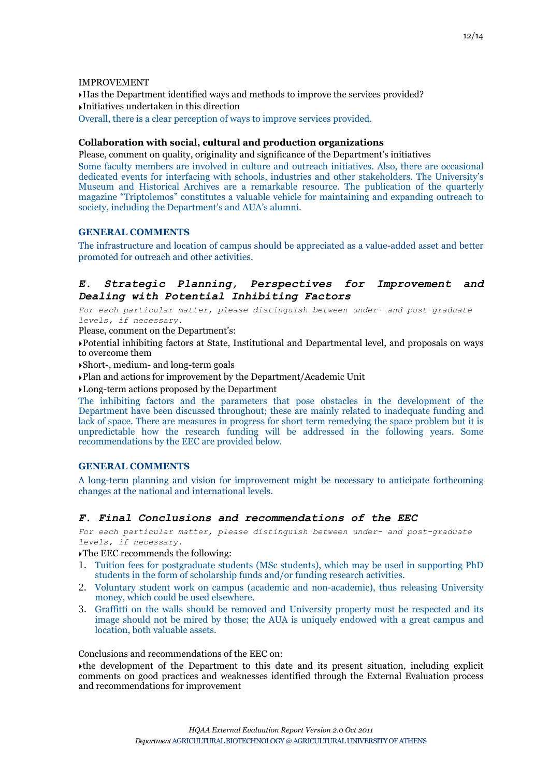#### IMPROVEMENT

‣Has the Department identified ways and methods to improve the services provided? ‣Initiatives undertaken in this direction Overall, there is a clear perception of ways to improve services provided.

# **Collaboration with social, cultural and production organizations**

Please, comment on quality, originality and significance of the Department's initiatives Some faculty members are involved in culture and outreach initiatives. Also, there are occasional dedicated events for interfacing with schools, industries and other stakeholders. The University's Museum and Historical Archives are a remarkable resource. The publication of the quarterly magazine "Triptolemos" constitutes a valuable vehicle for maintaining and expanding outreach to society, including the Department's and AUA's alumni.

# **GENERAL COMMENTS**

The infrastructure and location of campus should be appreciated as a value-added asset and better promoted for outreach and other activities.

# *E. Strategic Planning, Perspectives for Improvement and Dealing with Potential Inhibiting Factors*

*For each particular matter, please distinguish between under- and post-graduate levels, if necessary.*

Please, comment on the Department's:

‣Potential inhibiting factors at State, Institutional and Departmental level, and proposals on ways to overcome them

‣Short-, medium- and long-term goals

‣Plan and actions for improvement by the Department/Academic Unit

‣Long-term actions proposed by the Department

The inhibiting factors and the parameters that pose obstacles in the development of the Department have been discussed throughout; these are mainly related to inadequate funding and lack of space. There are measures in progress for short term remedying the space problem but it is unpredictable how the research funding will be addressed in the following years. Some recommendations by the EEC are provided below.

# **GENERAL COMMENTS**

A long-term planning and vision for improvement might be necessary to anticipate forthcoming changes at the national and international levels.

# *F. Final Conclusions and recommendations of the EEC*

*For each particular matter, please distinguish between under- and post-graduate levels, if necessary.*

‣The EEC recommends the following:

- 1. Tuition fees for postgraduate students (MSc students), which may be used in supporting PhD students in the form of scholarship funds and/or funding research activities.
- 2. Voluntary student work on campus (academic and non-academic), thus releasing University money, which could be used elsewhere.
- 3. Graffitti on the walls should be removed and University property must be respected and its image should not be mired by those; the AUA is uniquely endowed with a great campus and location, both valuable assets.

Conclusions and recommendations of the EEC on:

‣the development of the Department to this date and its present situation, including explicit comments on good practices and weaknesses identified through the External Evaluation process and recommendations for improvement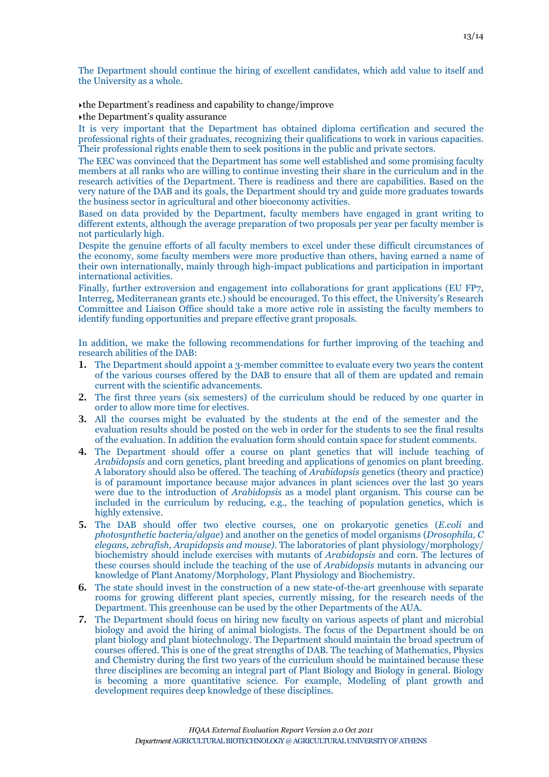The Department should continue the hiring of excellent candidates, which add value to itself and the University as a whole.

‣the Department's readiness and capability to change/improve

‣the Department's quality assurance

It is very important that the Department has obtained diploma certification and secured the professional rights of their graduates, recognizing their qualifications to work in various capacities. Their professional rights enable them to seek positions in the public and private sectors.

The EEC was convinced that the Department has some well established and some promising faculty members at all ranks who are willing to continue investing their share in the curriculum and in the research activities of the Department. There is readiness and there are capabilities. Based on the very nature of the DAB and its goals, the Department should try and guide more graduates towards the business sector in agricultural and other bioeconomy activities.

Based on data provided by the Department, faculty members have engaged in grant writing to different extents, although the average preparation of two proposals per year per faculty member is not particularly high.

Despite the genuine efforts of all faculty members to excel under these difficult circumstances of the economy, some faculty members were more productive than others, having earned a name of their own internationally, mainly through high-impact publications and participation in important international activities.

Finally, further extroversion and engagement into collaborations for grant applications (EU FP7, Interreg, Mediterranean grants etc.) should be encouraged. To this effect, the University's Research Committee and Liaison Office should take a more active role in assisting the faculty members to identify funding opportunities and prepare effective grant proposals.

In addition, we make the following recommendations for further improving of the teaching and research abilities of the DAB:

- 1. The Department should appoint a 3-member committee to evaluate every two years the content of the various courses offered by the DAB to ensure that all of them are updated and remain current with the scientific advancements.
- 2. The first three years (six semesters) of the curriculum should be reduced by one quarter in order to allow more time for electives.
- 3. All the courses might be evaluated by the students at the end of the semester and the evaluation results should be posted on the web in order for the students to see the final results of the evaluation. In addition the evaluation form should contain space for student comments.
- 4. The Department should offer a course on plant genetics that will include teaching of *Arabidopsis* and corn genetics, plant breeding and applications of genomics on plant breeding. A laboratory should also be offered. The teaching of *Arabidopsis* genetics (theory and practice) is of paramount importance because major advances in plant sciences over the last 30 years were due to the introduction of *Arabidopsis* as a model plant organism. This course can be included in the curriculum by reducing, e.g., the teaching of population genetics, which is highly extensive.
- 5. The DAB should offer two elective courses, one on prokaryotic genetics (*E.coli* and *photosynthetic bacteria/algae*) and another on the genetics of model organisms (*Drosophila, C elegans, zebrafish, Arapidopsis and mouse).* The laboratories of plant physiology/morphology/ biochemistry should include exercises with mutants of *Arabidopsis* and corn. The lectures of these courses should include the teaching of the use of *Arabidopsis* mutants in advancing our knowledge of Plant Anatomy/Morphology, Plant Physiology and Biochemistry.
- 6. The state should invest in the construction of a new state-of-the-art greenhouse with separate rooms for growing different plant species, currently missing, for the research needs of the Department. This greenhouse can be used by the other Departments of the AUA.
- 7. The Department should focus on hiring new faculty on various aspects of plant and microbial biology and avoid the hiring of animal biologists. The focus of the Department should be on plant biology and plant biotechnology. The Department should maintain the broad spectrum of courses offered. This is one of the great strengths of DAB. The teaching of Mathematics, Physics and Chemistry during the first two years of the curriculum should be maintained because these three disciplines are becoming an integral part of Plant Biology and Biology in general. Biology is becoming a more quantitative science. For example, Modeling of plant growth and development requires deep knowledge of these disciplines.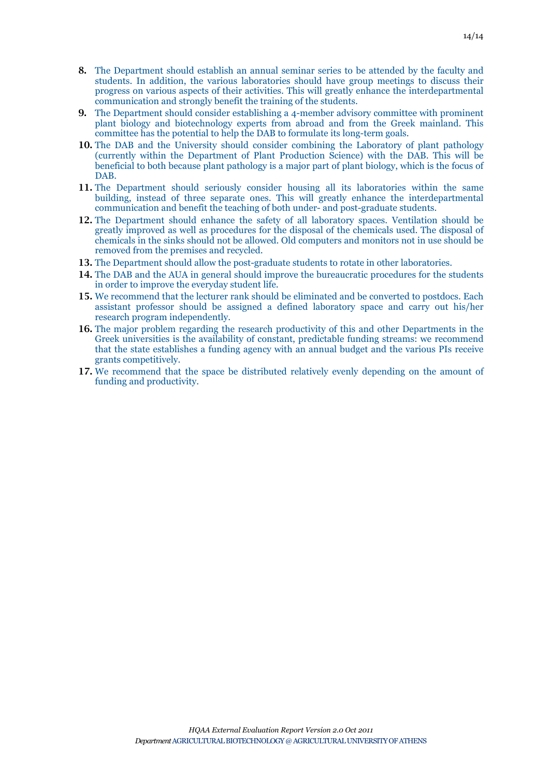- 8. The Department should establish an annual seminar series to be attended by the faculty and students. In addition, the various laboratories should have group meetings to discuss their progress on various aspects of their activities. This will greatly enhance the interdepartmental communication and strongly benefit the training of the students.
- 9. The Department should consider establishing a 4-member advisory committee with prominent plant biology and biotechnology experts from abroad and from the Greek mainland. This committee has the potential to help the DAB to formulate its long-term goals.
- 10. The DAB and the University should consider combining the Laboratory of plant pathology (currently within the Department of Plant Production Science) with the DAB. This will be beneficial to both because plant pathology is a major part of plant biology, which is the focus of DAB.
- 11. The Department should seriously consider housing all its laboratories within the same building, instead of three separate ones. This will greatly enhance the interdepartmental communication and benefit the teaching of both under- and post-graduate students.
- 12. The Department should enhance the safety of all laboratory spaces. Ventilation should be greatly improved as well as procedures for the disposal of the chemicals used. The disposal of chemicals in the sinks should not be allowed. Old computers and monitors not in use should be removed from the premises and recycled.
- 13. The Department should allow the post-graduate students to rotate in other laboratories.
- 14. The DAB and the AUA in general should improve the bureaucratic procedures for the students in order to improve the everyday student life.
- 15. We recommend that the lecturer rank should be eliminated and be converted to postdocs. Each assistant professor should be assigned a defined laboratory space and carry out his/her research program independently.
- 16. The major problem regarding the research productivity of this and other Departments in the Greek universities is the availability of constant, predictable funding streams: we recommend that the state establishes a funding agency with an annual budget and the various PIs receive grants competitively.
- 17. We recommend that the space be distributed relatively evenly depending on the amount of funding and productivity.